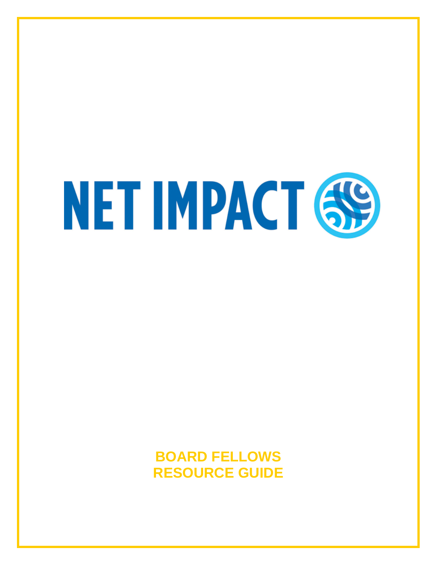# NET IMPACT 69

# **BOARD FELLOWS RESOURCE GUIDE**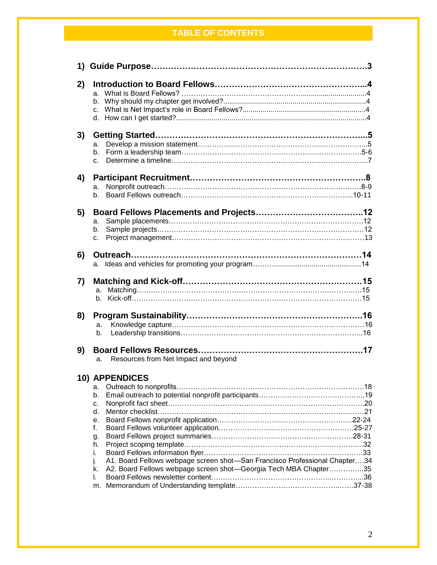# **TABLE OF CONTENTS**

| 2) |                                                                                  |  |
|----|----------------------------------------------------------------------------------|--|
|    | a.                                                                               |  |
|    |                                                                                  |  |
|    |                                                                                  |  |
|    |                                                                                  |  |
| 3) |                                                                                  |  |
|    | a.                                                                               |  |
|    | b.                                                                               |  |
|    | C.                                                                               |  |
| 4) |                                                                                  |  |
|    | a.                                                                               |  |
|    | b.                                                                               |  |
| 5) |                                                                                  |  |
|    | a.                                                                               |  |
|    | b.                                                                               |  |
|    | c.                                                                               |  |
| 6) |                                                                                  |  |
|    |                                                                                  |  |
|    |                                                                                  |  |
| 7) |                                                                                  |  |
|    | a.                                                                               |  |
|    |                                                                                  |  |
| 8) |                                                                                  |  |
|    |                                                                                  |  |
|    | a.<br>b.                                                                         |  |
|    |                                                                                  |  |
| 9) |                                                                                  |  |
|    | Resources from Net Impact and beyond<br>a.                                       |  |
|    | <b>10) APPENDICES</b>                                                            |  |
|    | а.                                                                               |  |
|    | b.                                                                               |  |
|    | c.                                                                               |  |
|    | d.                                                                               |  |
|    | е.                                                                               |  |
|    | f.                                                                               |  |
|    | g.                                                                               |  |
|    | h.                                                                               |  |
|    | i.<br>A1. Board Fellows webpage screen shot-San Francisco Professional Chapter34 |  |
|    | I.<br>A2. Board Fellows webpage screen shot—Georgia Tech MBA Chapter35           |  |
|    | k.<br>L.                                                                         |  |
|    | m.                                                                               |  |
|    |                                                                                  |  |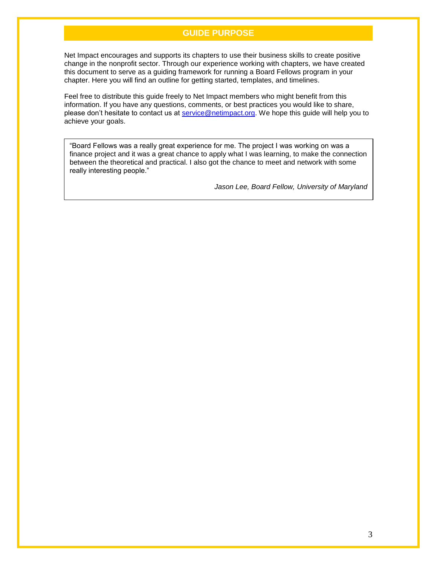# **GUIDE PURPOSE**

Net Impact encourages and supports its chapters to use their business skills to create positive change in the nonprofit sector. Through our experience working with chapters, we have created this document to serve as a guiding framework for running a Board Fellows program in your chapter. Here you will find an outline for getting started, templates, and timelines.

Feel free to distribute this guide freely to Net Impact members who might benefit from this information. If you have any questions, comments, or best practices you would like to share, please don't hesitate to contact us at [service@netimpact.org.](mailto:service@netimpact.org) We hope this guide will help you to achieve your goals.

"Board Fellows was a really great experience for me. The project I was working on was a finance project and it was a great chance to apply what I was learning, to make the connection between the theoretical and practical. I also got the chance to meet and network with some really interesting people."

*Jason Lee, Board Fellow, University of Maryland*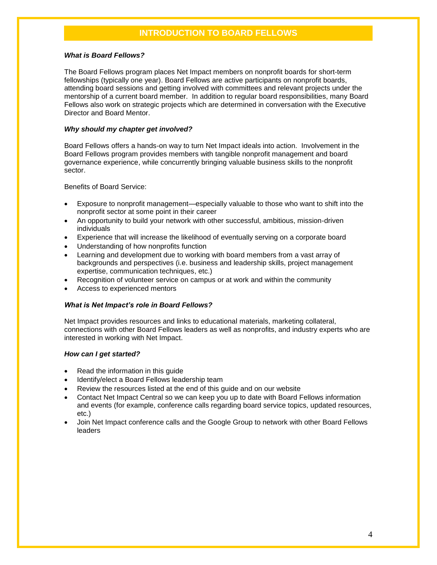# **INTRODUCTION TO BOARD FELLOWS**

### *What is Board Fellows?*

The Board Fellows program places Net Impact members on nonprofit boards for short-term fellowships (typically one year). Board Fellows are active participants on nonprofit boards, attending board sessions and getting involved with committees and relevant projects under the mentorship of a current board member. In addition to regular board responsibilities, many Board Fellows also work on strategic projects which are determined in conversation with the Executive Director and Board Mentor.

### *Why should my chapter get involved?*

Board Fellows offers a hands-on way to turn Net Impact ideals into action. Involvement in the Board Fellows program provides members with tangible nonprofit management and board governance experience, while concurrently bringing valuable business skills to the nonprofit sector.

Benefits of Board Service:

- Exposure to nonprofit management—especially valuable to those who want to shift into the nonprofit sector at some point in their career
- An opportunity to build your network with other successful, ambitious, mission-driven individuals
- Experience that will increase the likelihood of eventually serving on a corporate board
- Understanding of how nonprofits function
- Learning and development due to working with board members from a vast array of backgrounds and perspectives (i.e. business and leadership skills, project management expertise, communication techniques, etc.)
- Recognition of volunteer service on campus or at work and within the community
- Access to experienced mentors

### *What is Net Impact's role in Board Fellows?*

Net Impact provides resources and links to educational materials, marketing collateral, connections with other Board Fellows leaders as well as nonprofits, and industry experts who are interested in working with Net Impact.

### *How can I get started?*

- Read the information in this guide
- Identify/elect a Board Fellows leadership team
- Review the resources listed at the end of this guide and on our website
- Contact Net Impact Central so we can keep you up to date with Board Fellows information and events (for example, conference calls regarding board service topics, updated resources, etc.)
- Join Net Impact conference calls and the Google Group to network with other Board Fellows leaders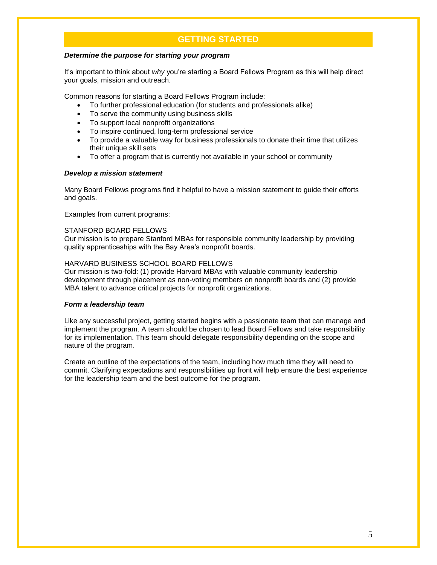# **GETTING STARTED**

### *Determine the purpose for starting your program*

It's important to think about *why* you're starting a Board Fellows Program as this will help direct your goals, mission and outreach.

Common reasons for starting a Board Fellows Program include:

- To further professional education (for students and professionals alike)
- To serve the community using business skills
- To support local nonprofit organizations
- To inspire continued, long-term professional service
- To provide a valuable way for business professionals to donate their time that utilizes their unique skill sets
- To offer a program that is currently not available in your school or community

### *Develop a mission statement*

Many Board Fellows programs find it helpful to have a mission statement to guide their efforts and goals.

Examples from current programs:

### STANFORD BOARD FELLOWS

Our mission is to prepare Stanford MBAs for responsible community leadership by providing quality apprenticeships with the Bay Area's nonprofit boards.

### HARVARD BUSINESS SCHOOL BOARD FELLOWS

Our mission is two-fold: (1) provide Harvard MBAs with valuable community leadership development through placement as non-voting members on nonprofit boards and (2) provide MBA talent to advance critical projects for nonprofit organizations.

### *Form a leadership team*

Like any successful project, getting started begins with a passionate team that can manage and implement the program. A team should be chosen to lead Board Fellows and take responsibility for its implementation. This team should delegate responsibility depending on the scope and nature of the program.

Create an outline of the expectations of the team, including how much time they will need to commit. Clarifying expectations and responsibilities up front will help ensure the best experience for the leadership team and the best outcome for the program.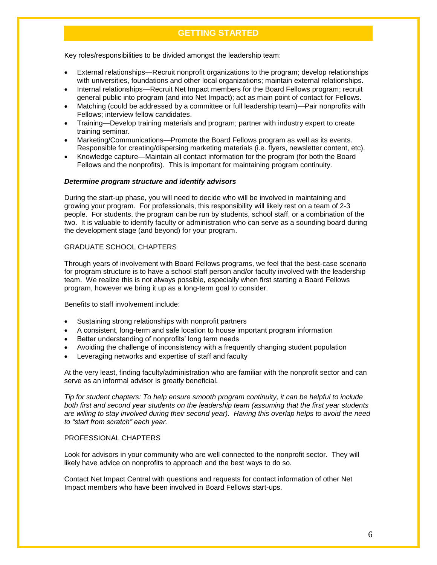# **GETTING STARTED**

Key roles/responsibilities to be divided amongst the leadership team:

- External relationships—Recruit nonprofit organizations to the program; develop relationships with universities, foundations and other local organizations; maintain external relationships.
- Internal relationships—Recruit Net Impact members for the Board Fellows program; recruit general public into program (and into Net Impact); act as main point of contact for Fellows.
- Matching (could be addressed by a committee or full leadership team)—Pair nonprofits with Fellows; interview fellow candidates.
- Training—Develop training materials and program; partner with industry expert to create training seminar.
- Marketing/Communications—Promote the Board Fellows program as well as its events. Responsible for creating/dispersing marketing materials (i.e. flyers, newsletter content, etc).
- Knowledge capture—Maintain all contact information for the program (for both the Board Fellows and the nonprofits). This is important for maintaining program continuity.

### *Determine program structure and identify advisors*

During the start-up phase, you will need to decide who will be involved in maintaining and growing your program. For professionals, this responsibility will likely rest on a team of 2-3 people. For students, the program can be run by students, school staff, or a combination of the two. It is valuable to identify faculty or administration who can serve as a sounding board during the development stage (and beyond) for your program.

### GRADUATE SCHOOL CHAPTERS

Through years of involvement with Board Fellows programs, we feel that the best-case scenario for program structure is to have a school staff person and/or faculty involved with the leadership team. We realize this is not always possible, especially when first starting a Board Fellows program, however we bring it up as a long-term goal to consider.

Benefits to staff involvement include:

- Sustaining strong relationships with nonprofit partners
- A consistent, long-term and safe location to house important program information
- Better understanding of nonprofits' long term needs
- Avoiding the challenge of inconsistency with a frequently changing student population
- Leveraging networks and expertise of staff and faculty

At the very least, finding faculty/administration who are familiar with the nonprofit sector and can serve as an informal advisor is greatly beneficial.

*Tip for student chapters: To help ensure smooth program continuity, it can be helpful to include both first and second year students on the leadership team (assuming that the first year students are willing to stay involved during their second year). Having this overlap helps to avoid the need to "start from scratch" each year.* 

### PROFESSIONAL CHAPTERS

Look for advisors in your community who are well connected to the nonprofit sector. They will likely have advice on nonprofits to approach and the best ways to do so.

Contact Net Impact Central with questions and requests for contact information of other Net Impact members who have been involved in Board Fellows start-ups.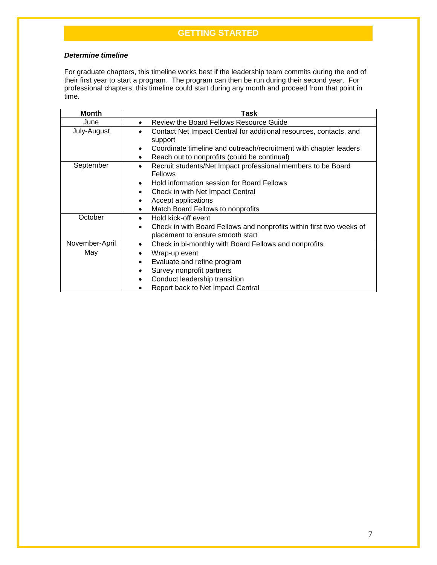# **GETTING STARTED**

### *Determine timeline*

For graduate chapters, this timeline works best if the leadership team commits during the end of their first year to start a program. The program can then be run during their second year. For professional chapters, this timeline could start during any month and proceed from that point in time.

| <b>Month</b>   | Task                                                                                                                                |  |  |
|----------------|-------------------------------------------------------------------------------------------------------------------------------------|--|--|
| June           | Review the Board Fellows Resource Guide                                                                                             |  |  |
| July-August    | Contact Net Impact Central for additional resources, contacts, and<br>support                                                       |  |  |
|                | Coordinate timeline and outreach/recruitment with chapter leaders<br>$\bullet$<br>Reach out to nonprofits (could be continual)<br>٠ |  |  |
| September      | Recruit students/Net Impact professional members to be Board<br>$\bullet$<br><b>Fellows</b>                                         |  |  |
|                | Hold information session for Board Fellows<br>$\bullet$                                                                             |  |  |
|                | Check in with Net Impact Central<br>$\bullet$                                                                                       |  |  |
|                | Accept applications<br>$\bullet$                                                                                                    |  |  |
|                | Match Board Fellows to nonprofits<br>$\bullet$                                                                                      |  |  |
| October        | Hold kick-off event<br>$\bullet$                                                                                                    |  |  |
|                | Check in with Board Fellows and nonprofits within first two weeks of<br>$\bullet$<br>placement to ensure smooth start               |  |  |
| November-April | Check in bi-monthly with Board Fellows and nonprofits<br>$\bullet$                                                                  |  |  |
| May            | Wrap-up event<br>$\bullet$                                                                                                          |  |  |
|                | Evaluate and refine program<br>٠                                                                                                    |  |  |
|                | Survey nonprofit partners                                                                                                           |  |  |
|                | Conduct leadership transition                                                                                                       |  |  |
|                | Report back to Net Impact Central                                                                                                   |  |  |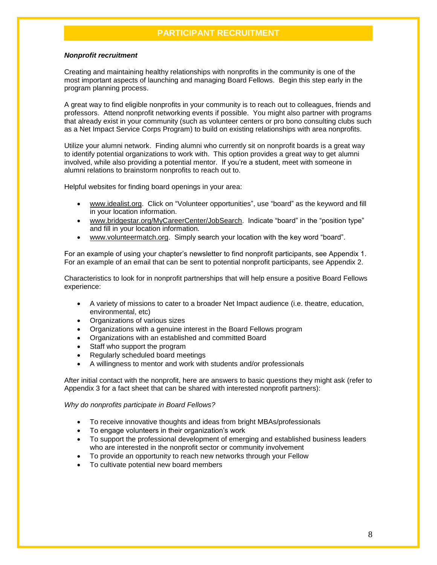### *Nonprofit recruitment*

Creating and maintaining healthy relationships with nonprofits in the community is one of the most important aspects of launching and managing Board Fellows. Begin this step early in the program planning process.

A great way to find eligible nonprofits in your community is to reach out to colleagues, friends and professors. Attend nonprofit networking events if possible. You might also partner with programs that already exist in your community (such as volunteer centers or pro bono consulting clubs such as a Net Impact Service Corps Program) to build on existing relationships with area nonprofits.

Utilize your alumni network. Finding alumni who currently sit on nonprofit boards is a great way to identify potential organizations to work with. This option provides a great way to get alumni involved, while also providing a potential mentor. If you're a student, meet with someone in alumni relations to brainstorm nonprofits to reach out to.

Helpful websites for finding board openings in your area:

- [www.idealist.org.](http://www.idealist.org/) Click on "Volunteer opportunities", use "board" as the keyword and fill in your location information.
- [www.bridgestar.org/MyCareerCenter/JobSearch.](http://www.bridgestar.org/MyCareerCenter/JobSearch) Indicate "board" in the "position type" and fill in your location information.
- [www.volunteermatch.org.](http://www.volunteermatch.org/) Simply search your location with the key word "board".

For an example of using your chapter's newsletter to find nonprofit participants, see Appendix 1. For an example of an email that can be sent to potential nonprofit participants, see Appendix 2.

Characteristics to look for in nonprofit partnerships that will help ensure a positive Board Fellows experience:

- A variety of missions to cater to a broader Net Impact audience (i.e. theatre, education, environmental, etc)
- Organizations of various sizes
- Organizations with a genuine interest in the Board Fellows program
- Organizations with an established and committed Board
- Staff who support the program
- Regularly scheduled board meetings
- A willingness to mentor and work with students and/or professionals

After initial contact with the nonprofit, here are answers to basic questions they might ask (refer to Appendix 3 for a fact sheet that can be shared with interested nonprofit partners):

*Why do nonprofits participate in Board Fellows?* 

- To receive innovative thoughts and ideas from bright MBAs/professionals
- To engage volunteers in their organization's work
- To support the professional development of emerging and established business leaders who are interested in the nonprofit sector or community involvement
- To provide an opportunity to reach new networks through your Fellow
- To cultivate potential new board members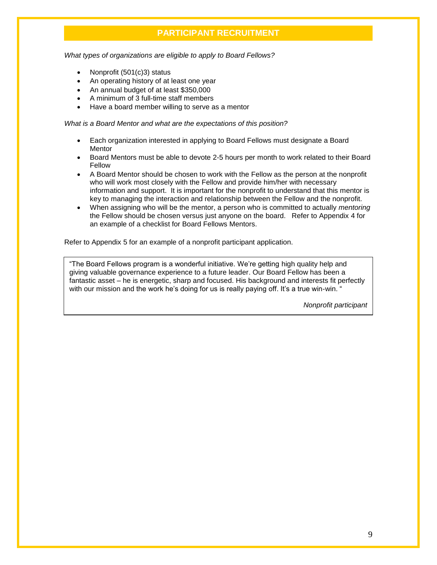*What types of organizations are eligible to apply to Board Fellows?*

- Nonprofit (501(c)3) status
- An operating history of at least one year
- An annual budget of at least \$350,000
- A minimum of 3 full-time staff members
- Have a board member willing to serve as a mentor

*What is a Board Mentor and what are the expectations of this position?*

- Each organization interested in applying to Board Fellows must designate a Board **Mentor**
- Board Mentors must be able to devote 2-5 hours per month to work related to their Board Fellow
- A Board Mentor should be chosen to work with the Fellow as the person at the nonprofit who will work most closely with the Fellow and provide him/her with necessary information and support. It is important for the nonprofit to understand that this mentor is key to managing the interaction and relationship between the Fellow and the nonprofit.
- When assigning who will be the mentor, a person who is committed to actually *mentoring* the Fellow should be chosen versus just anyone on the board. Refer to Appendix 4 for an example of a checklist for Board Fellows Mentors.

Refer to Appendix 5 for an example of a nonprofit participant application.

"The Board Fellows program is a wonderful initiative. We're getting high quality help and giving valuable governance experience to a future leader. Our Board Fellow has been a fantastic asset – he is energetic, sharp and focused. His background and interests fit perfectly with our mission and the work he's doing for us is really paying off. It's a true win-win. "

*Nonprofit participant*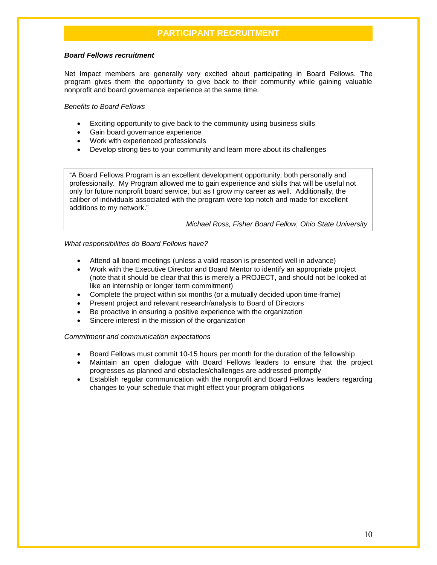### *Board Fellows recruitment*

Net Impact members are generally very excited about participating in Board Fellows. The program gives them the opportunity to give back to their community while gaining valuable nonprofit and board governance experience at the same time.

### *Benefits to Board Fellows*

- Exciting opportunity to give back to the community using business skills
- Gain board governance experience
- Work with experienced professionals
- Develop strong ties to your community and learn more about its challenges

"A Board Fellows Program is an excellent development opportunity; both personally and professionally. My Program allowed me to gain experience and skills that will be useful not only for future nonprofit board service, but as I grow my career as well. Additionally, the caliber of individuals associated with the program were top notch and made for excellent additions to my network."

*Michael Ross, Fisher Board Fellow, Ohio State University*

### *What responsibilities do Board Fellows have?*

- Attend all board meetings (unless a valid reason is presented well in advance)
- Work with the Executive Director and Board Mentor to identify an appropriate project (note that it should be clear that this is merely a PROJECT, and should not be looked at like an internship or longer term commitment)
- Complete the project within six months (or a mutually decided upon time-frame)
- Present project and relevant research/analysis to Board of Directors
- Be proactive in ensuring a positive experience with the organization
- Sincere interest in the mission of the organization

### *Commitment and communication expectations*

- Board Fellows must commit 10-15 hours per month for the duration of the fellowship
- Maintain an open dialogue with Board Fellows leaders to ensure that the project progresses as planned and obstacles/challenges are addressed promptly
- Establish regular communication with the nonprofit and Board Fellows leaders regarding changes to your schedule that might effect your program obligations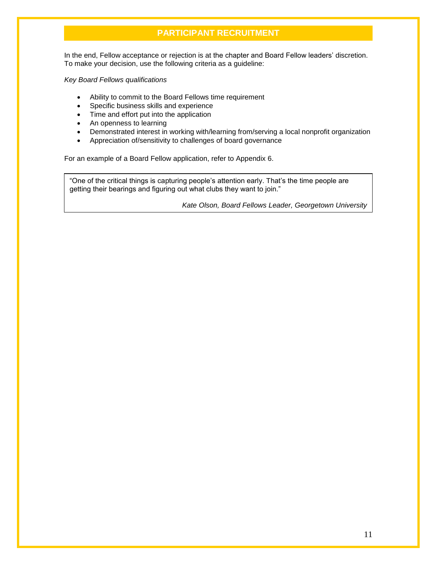In the end, Fellow acceptance or rejection is at the chapter and Board Fellow leaders' discretion. To make your decision, use the following criteria as a guideline:

### *Key Board Fellows qualifications*

- Ability to commit to the Board Fellows time requirement
- Specific business skills and experience
- Time and effort put into the application
- An openness to learning<br>• Demonstrated interest in
- Demonstrated interest in working with/learning from/serving a local nonprofit organization
- Appreciation of/sensitivity to challenges of board governance

For an example of a Board Fellow application, refer to Appendix 6.

"One of the critical things is capturing people's attention early. That's the time people are getting their bearings and figuring out what clubs they want to join."

*Kate Olson, Board Fellows Leader, Georgetown University*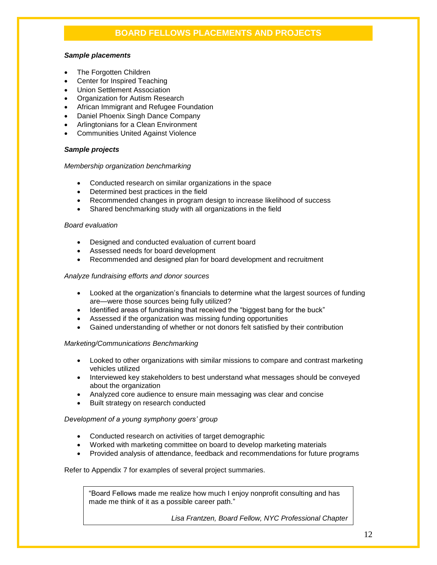# **BOARD FELLOWS PLACEMENTS AND PROJECTS**

### *Sample placements*

- The Forgotten Children
- Center for Inspired Teaching
- Union Settlement Association
- Organization for Autism Research
- African Immigrant and Refugee Foundation
- Daniel Phoenix Singh Dance Company
- Arlingtonians for a Clean Environment
- Communities United Against Violence

### *Sample projects*

### *Membership organization benchmarking*

- Conducted research on similar organizations in the space
- Determined best practices in the field
- Recommended changes in program design to increase likelihood of success
- Shared benchmarking study with all organizations in the field

### *Board evaluation*

- Designed and conducted evaluation of current board
- Assessed needs for board development
- Recommended and designed plan for board development and recruitment

### *Analyze fundraising efforts and donor sources*

- Looked at the organization's financials to determine what the largest sources of funding are—were those sources being fully utilized?
- Identified areas of fundraising that received the "biggest bang for the buck"
- Assessed if the organization was missing funding opportunities
- Gained understanding of whether or not donors felt satisfied by their contribution

### *Marketing/Communications Benchmarking*

- Looked to other organizations with similar missions to compare and contrast marketing vehicles utilized
- Interviewed key stakeholders to best understand what messages should be conveyed about the organization
- Analyzed core audience to ensure main messaging was clear and concise
- Built strategy on research conducted

### *Development of a young symphony goers' group*

- Conducted research on activities of target demographic
- Worked with marketing committee on board to develop marketing materials
- Provided analysis of attendance, feedback and recommendations for future programs

### Refer to Appendix 7 for examples of several project summaries.

"Board Fellows made me realize how much I enjoy nonprofit consulting and has made me think of it as a possible career path."

*Lisa Frantzen, Board Fellow, NYC Professional Chapter*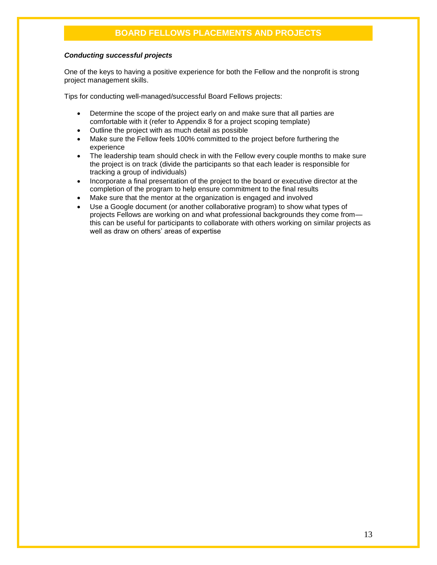# **BOARD FELLOWS PLACEMENTS AND PROJECTS**

### *Conducting successful projects*

One of the keys to having a positive experience for both the Fellow and the nonprofit is strong project management skills.

Tips for conducting well-managed/successful Board Fellows projects:

- Determine the scope of the project early on and make sure that all parties are comfortable with it (refer to Appendix 8 for a project scoping template)
- Outline the project with as much detail as possible
- Make sure the Fellow feels 100% committed to the project before furthering the experience
- The leadership team should check in with the Fellow every couple months to make sure the project is on track (divide the participants so that each leader is responsible for tracking a group of individuals)
- Incorporate a final presentation of the project to the board or executive director at the completion of the program to help ensure commitment to the final results
- Make sure that the mentor at the organization is engaged and involved
- Use a Google document (or another collaborative program) to show what types of projects Fellows are working on and what professional backgrounds they come from this can be useful for participants to collaborate with others working on similar projects as well as draw on others' areas of expertise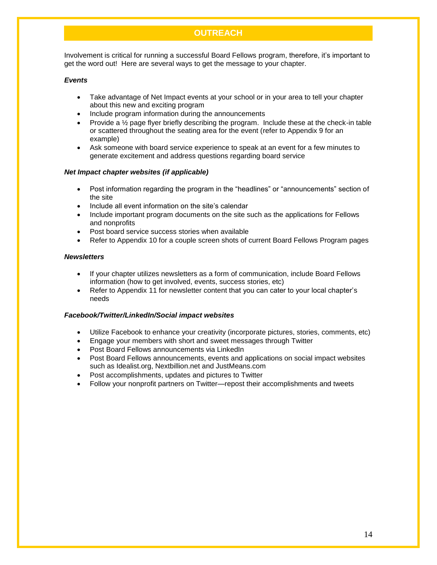# **OUTREACH**

Involvement is critical for running a successful Board Fellows program, therefore, it's important to get the word out! Here are several ways to get the message to your chapter.

### *Events*

- Take advantage of Net Impact events at your school or in your area to tell your chapter about this new and exciting program
- Include program information during the announcements
- Provide a  $\frac{1}{2}$  page flyer briefly describing the program. Include these at the check-in table or scattered throughout the seating area for the event (refer to Appendix 9 for an example)
- Ask someone with board service experience to speak at an event for a few minutes to generate excitement and address questions regarding board service

### *Net Impact chapter websites (if applicable)*

- Post information regarding the program in the "headlines" or "announcements" section of the site
- Include all event information on the site's calendar
- Include important program documents on the site such as the applications for Fellows and nonprofits
- Post board service success stories when available
- Refer to Appendix 10 for a couple screen shots of current Board Fellows Program pages

### *Newsletters*

- If your chapter utilizes newsletters as a form of communication, include Board Fellows information (how to get involved, events, success stories, etc)
- Refer to Appendix 11 for newsletter content that you can cater to your local chapter's needs

### *Facebook/Twitter/LinkedIn/Social impact websites*

- Utilize Facebook to enhance your creativity (incorporate pictures, stories, comments, etc)
- Engage your members with short and sweet messages through Twitter
- Post Board Fellows announcements via LinkedIn
- Post Board Fellows announcements, events and applications on social impact websites such as Idealist.org, Nextbillion.net and JustMeans.com
- Post accomplishments, updates and pictures to Twitter
- Follow your nonprofit partners on Twitter—repost their accomplishments and tweets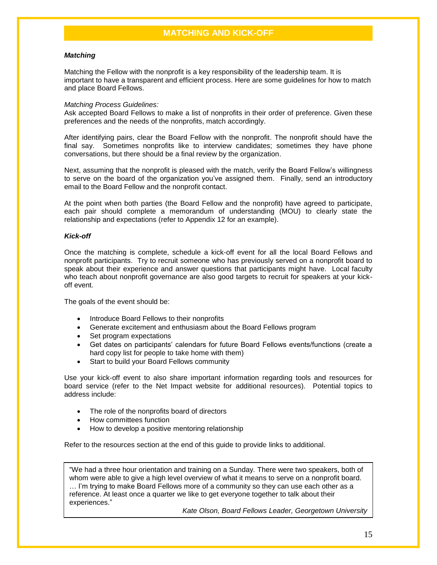## **MATCHING AND KICK-OFF**

### *Matching*

Matching the Fellow with the nonprofit is a key responsibility of the leadership team. It is important to have a transparent and efficient process. Here are some guidelines for how to match and place Board Fellows.

### *Matching Process Guidelines:*

Ask accepted Board Fellows to make a list of nonprofits in their order of preference. Given these preferences and the needs of the nonprofits, match accordingly.

After identifying pairs, clear the Board Fellow with the nonprofit. The nonprofit should have the final say. Sometimes nonprofits like to interview candidates; sometimes they have phone conversations, but there should be a final review by the organization.

Next, assuming that the nonprofit is pleased with the match, verify the Board Fellow's willingness to serve on the board of the organization you've assigned them. Finally, send an introductory email to the Board Fellow and the nonprofit contact.

At the point when both parties (the Board Fellow and the nonprofit) have agreed to participate, each pair should complete a memorandum of understanding (MOU) to clearly state the relationship and expectations (refer to Appendix 12 for an example).

### *Kick-off*

Once the matching is complete, schedule a kick-off event for all the local Board Fellows and nonprofit participants. Try to recruit someone who has previously served on a nonprofit board to speak about their experience and answer questions that participants might have. Local faculty who teach about nonprofit governance are also good targets to recruit for speakers at your kickoff event.

The goals of the event should be:

- Introduce Board Fellows to their nonprofits
- Generate excitement and enthusiasm about the Board Fellows program
- Set program expectations
- Get dates on participants' calendars for future Board Fellows events/functions (create a hard copy list for people to take home with them)
- Start to build your Board Fellows community

Use your kick-off event to also share important information regarding tools and resources for board service (refer to the Net Impact website for additional resources). Potential topics to address include:

- The role of the nonprofits board of directors
- How committees function
- How to develop a positive mentoring relationship

Refer to the resources section at the end of this guide to provide links to additional.

"We had a three hour orientation and training on a Sunday. There were two speakers, both of whom were able to give a high level overview of what it means to serve on a nonprofit board. … I'm trying to make Board Fellows more of a community so they can use each other as a reference. At least once a quarter we like to get everyone together to talk about their experiences."

*Kate Olson, Board Fellows Leader, Georgetown University*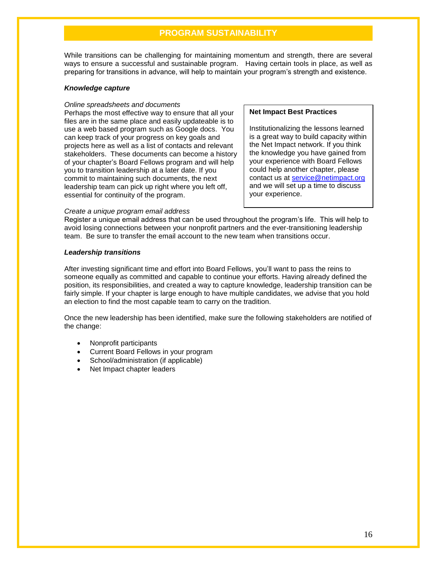### **PROGRAM SUSTAINABILITY**

While transitions can be challenging for maintaining momentum and strength, there are several ways to ensure a successful and sustainable program. Having certain tools in place, as well as preparing for transitions in advance, will help to maintain your program's strength and existence.

### *Knowledge capture*

### *Online spreadsheets and documents*

Perhaps the most effective way to ensure that all your files are in the same place and easily updateable is to use a web based program such as Google docs. You can keep track of your progress on key goals and projects here as well as a list of contacts and relevant stakeholders. These documents can become a history of your chapter's Board Fellows program and will help you to transition leadership at a later date. If you commit to maintaining such documents, the next leadership team can pick up right where you left off, essential for continuity of the program.

### **Net Impact Best Practices**

Institutionalizing the lessons learned is a great way to build capacity within the Net Impact network. If you think the knowledge you have gained from your experience with Board Fellows could help another chapter, please contact us at [service@netimpact.org](mailto:service@netimpact.org) and we will set up a time to discuss your experience.

### *Create a unique program email address*

Register a unique email address that can be used throughout the program's life. This will help to avoid losing connections between your nonprofit partners and the ever-transitioning leadership team. Be sure to transfer the email account to the new team when transitions occur.

### *Leadership transitions*

After investing significant time and effort into Board Fellows, you'll want to pass the reins to someone equally as committed and capable to continue your efforts. Having already defined the position, its responsibilities, and created a way to capture knowledge, leadership transition can be fairly simple. If your chapter is large enough to have multiple candidates, we advise that you hold an election to find the most capable team to carry on the tradition.

Once the new leadership has been identified, make sure the following stakeholders are notified of the change:

- Nonprofit participants
- Current Board Fellows in your program
- School/administration (if applicable)
- Net Impact chapter leaders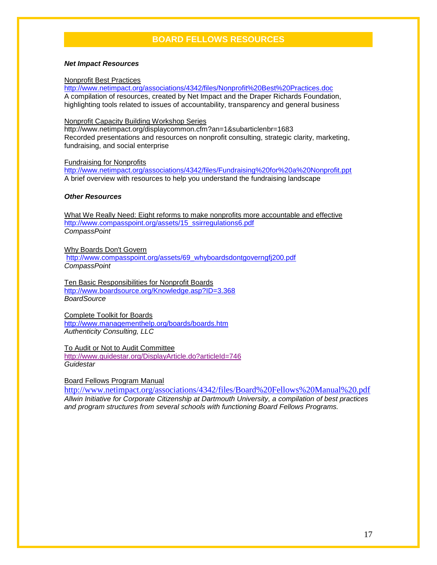# **BOARD FELLOWS RESOURCES**

### *Net Impact Resources*

### Nonprofit Best Practices

<http://www.netimpact.org/associations/4342/files/Nonprofit%20Best%20Practices.doc> A compilation of resources, created by Net Impact and the Draper Richards Foundation, highlighting tools related to issues of accountability, transparency and general business

### Nonprofit Capacity Building Workshop Series

<http://www.netimpact.org/displaycommon.cfm?an=1&subarticlenbr=1683> Recorded presentations and resources on nonprofit consulting, strategic clarity, marketing, fundraising, and social enterprise

### Fundraising for Nonprofits

<http://www.netimpact.org/associations/4342/files/Fundraising%20for%20a%20Nonprofit.ppt> A brief overview with resources to help you understand the fundraising landscape

### *Other Resources*

What We Really Need: Eight reforms to make nonprofits more accountable and effective [http://www.compasspoint.org/assets/15\\_ssirregulations6.pdf](http://www.compasspoint.org/assets/15_ssirregulations6.pdf) *CompassPoint*

Why Boards Don't Govern [http://www.compasspoint.org/assets/69\\_whyboardsdontgoverngfj200.pdf](http://www.compasspoint.org/assets/69_whyboardsdontgoverngfj200.pdf) *CompassPoint*

Ten Basic Responsibilities for Nonprofit Boards <http://www.boardsource.org/Knowledge.asp?ID=3.368> *BoardSource*

Complete Toolkit for Boards <http://www.managementhelp.org/boards/boards.htm> *Authenticity Consulting, LLC*

To Audit or Not to Audit Committee <http://www.guidestar.org/DisplayArticle.do?articleId=746> *Guidestar*

Board Fellows Program Manual

http://www.netimpact.org/associations/4342/files/Board%20Fellows%20Manual%20.pdf *Allwin Initiative for Corporate Citizenship at Dartmouth University, a compilation of best practices and program structures from several schools with functioning Board Fellows Programs.*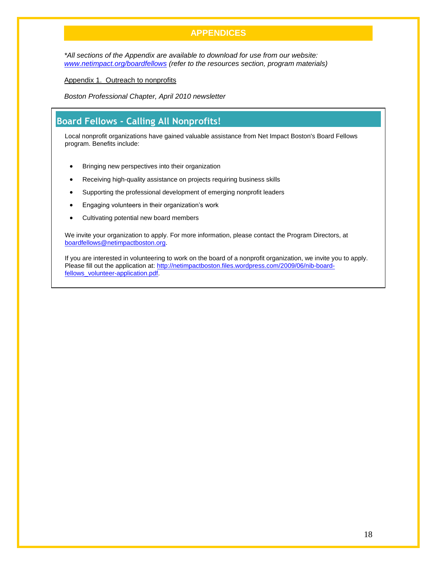# **APPENDICES**

*\*All sections of the Appendix are available to download for use from our website: [www.netimpact.org/boardfellows](http://www.netimpact.org/boardfellows) (refer to the resources section, program materials)*

Appendix 1. Outreach to nonprofits

*Boston Professional Chapter, April 2010 newsletter*

# **Board Fellows - Calling All Nonprofits!**

Local nonprofit organizations have gained valuable assistance from Net Impact Boston's Board Fellows program. Benefits include:

- Bringing new perspectives into their organization
- Receiving high-quality assistance on projects requiring business skills
- Supporting the professional development of emerging nonprofit leaders
- Engaging volunteers in their organization's work
- Cultivating potential new board members

We invite your organization to apply. For more information, please contact the Program Directors, at [boardfellows@netimpactboston.org.](mailto:boardfellows@netimpactboston.org)

If you are interested in volunteering to work on the board of a nonprofit organization, we invite you to apply. Please fill out the application at: [http://netimpactboston.files.wordpress.com/2009/06/nib-board](http://netimpactboston.files.wordpress.com/2009/06/nib-board-fellows_volunteer-application.pdf)[fellows\\_volunteer-application.pdf.](http://netimpactboston.files.wordpress.com/2009/06/nib-board-fellows_volunteer-application.pdf)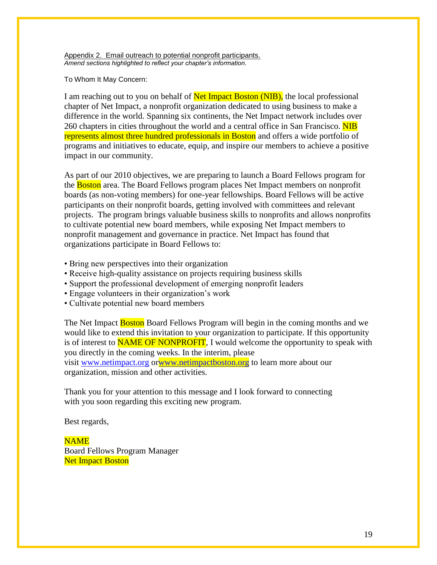Appendix 2. Email outreach to potential nonprofit participants. *Amend sections highlighted to reflect your chapter's information.*

To Whom It May Concern:

I am reaching out to you on behalf of **Net Impact Boston (NIB)**, the local professional chapter of Net Impact, a nonprofit organization dedicated to using business to make a difference in the world. Spanning six continents, the Net Impact network includes over 260 chapters in cities throughout the world and a central office in San Francisco. NIB represents almost three hundred professionals in Boston and offers a wide portfolio of programs and initiatives to educate, equip, and inspire our members to achieve a positive impact in our community.

As part of our 2010 objectives, we are preparing to launch a Board Fellows program for the Boston area. The Board Fellows program places Net Impact members on nonprofit boards (as non-voting members) for one-year fellowships. Board Fellows will be active participants on their nonprofit boards, getting involved with committees and relevant projects. The program brings valuable business skills to nonprofits and allows nonprofits to cultivate potential new board members, while exposing Net Impact members to nonprofit management and governance in practice. Net Impact has found that organizations participate in Board Fellows to:

- Bring new perspectives into their organization
- Receive high-quality assistance on projects requiring business skills
- Support the professional development of emerging nonprofit leaders
- Engage volunteers in their organization's work
- Cultivate potential new board members

The Net Impact **Boston** Board Fellows Program will begin in the coming months and we would like to extend this invitation to your organization to participate. If this opportunity is of interest to **NAME OF NONPROFIT**, I would welcome the opportunity to speak with you directly in the coming weeks. In the interim, please visit [www.netimpact.org](http://www.netimpact.org/) o[rwww.netimpactboston.org](http://www.netimpactboston.org/) to learn more about our organization, mission and other activities.

Thank you for your attention to this message and I look forward to connecting with you soon regarding this exciting new program.

Best regards,

NAME Board Fellows Program Manager **Net Impact Boston**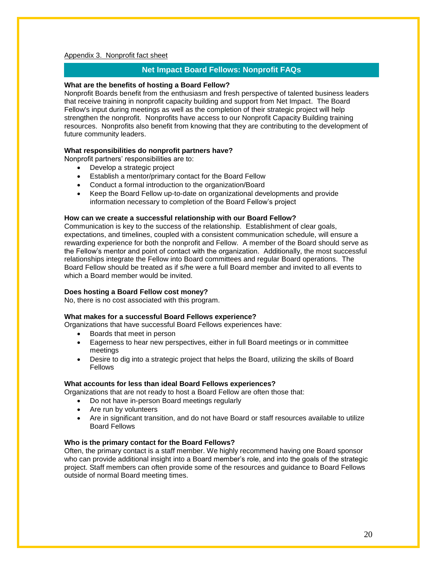### Appendix 3. Nonprofit fact sheet

### **Net Impact Board Fellows: Nonprofit FAQs**

### **What are the benefits of hosting a Board Fellow?**

Nonprofit Boards benefit from the enthusiasm and fresh perspective of talented business leaders that receive training in nonprofit capacity building and support from Net Impact. The Board Fellow's input during meetings as well as the completion of their strategic project will help strengthen the nonprofit. Nonprofits have access to our Nonprofit Capacity Building training resources. Nonprofits also benefit from knowing that they are contributing to the development of future community leaders.

### **What responsibilities do nonprofit partners have?**

Nonprofit partners' responsibilities are to:

- Develop a strategic project
- Establish a mentor/primary contact for the Board Fellow
- Conduct a formal introduction to the organization/Board
- Keep the Board Fellow up-to-date on organizational developments and provide information necessary to completion of the Board Fellow's project

### **How can we create a successful relationship with our Board Fellow?**

Communication is key to the success of the relationship. Establishment of clear goals, expectations, and timelines, coupled with a consistent communication schedule, will ensure a rewarding experience for both the nonprofit and Fellow. A member of the Board should serve as the Fellow's mentor and point of contact with the organization. Additionally, the most successful relationships integrate the Fellow into Board committees and regular Board operations. The Board Fellow should be treated as if s/he were a full Board member and invited to all events to which a Board member would be invited.

### **Does hosting a Board Fellow cost money?**

No, there is no cost associated with this program.

### **What makes for a successful Board Fellows experience?**

Organizations that have successful Board Fellows experiences have:

- Boards that meet in person
- Eagerness to hear new perspectives, either in full Board meetings or in committee meetings
- Desire to dig into a strategic project that helps the Board, utilizing the skills of Board **Fellows**

### **What accounts for less than ideal Board Fellows experiences?**

Organizations that are not ready to host a Board Fellow are often those that:

- Do not have in-person Board meetings regularly
- Are run by volunteers
- Are in significant transition, and do not have Board or staff resources available to utilize Board Fellows

### **Who is the primary contact for the Board Fellows?**

Often, the primary contact is a staff member. We highly recommend having one Board sponsor who can provide additional insight into a Board member's role, and into the goals of the strategic project. Staff members can often provide some of the resources and guidance to Board Fellows outside of normal Board meeting times.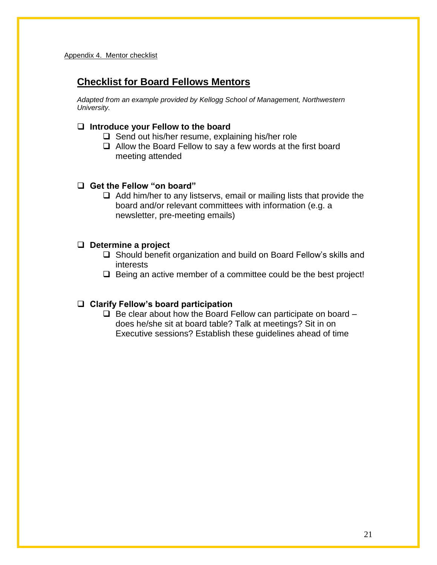# **Checklist for Board Fellows Mentors**

*Adapted from an example provided by Kellogg School of Management, Northwestern University.*

# **Introduce your Fellow to the board**

- $\Box$  Send out his/her resume, explaining his/her role
- $\Box$  Allow the Board Fellow to say a few words at the first board meeting attended

# **Get the Fellow "on board"**

 $\Box$  Add him/her to any listservs, email or mailing lists that provide the board and/or relevant committees with information (e.g. a newsletter, pre-meeting emails)

# **Determine a project**

- □ Should benefit organization and build on Board Fellow's skills and interests
- $\Box$  Being an active member of a committee could be the best project!

# **Clarify Fellow's board participation**

 $\Box$  Be clear about how the Board Fellow can participate on board  $\Box$ does he/she sit at board table? Talk at meetings? Sit in on Executive sessions? Establish these guidelines ahead of time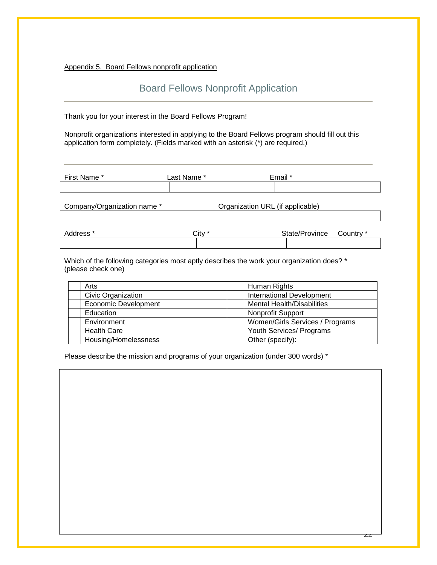Appendix 5. Board Fellows nonprofit application

# Board Fellows Nonprofit Application

Thank you for your interest in the Board Fellows Program!

Nonprofit organizations interested in applying to the Board Fellows program should fill out this application form completely. (Fields marked with an asterisk (\*) are required.)

| First Name *                | Last Name * |                                  | Email * |
|-----------------------------|-------------|----------------------------------|---------|
|                             |             |                                  |         |
| Company/Organization name * |             | Organization URL (if applicable) |         |
|                             |             |                                  |         |

| Address * | ごit∨ | State/Province | Country * |
|-----------|------|----------------|-----------|
|           |      |                |           |

Which of the following categories most aptly describes the work your organization does? \* (please check one)

| Arts                        | Human Rights                      |
|-----------------------------|-----------------------------------|
| Civic Organization          | <b>International Development</b>  |
| <b>Economic Development</b> | <b>Mental Health/Disabilities</b> |
| Education                   | <b>Nonprofit Support</b>          |
| Environment                 | Women/Girls Services / Programs   |
| <b>Health Care</b>          | Youth Services/ Programs          |
| Housing/Homelessness        | Other (specify):                  |

Please describe the mission and programs of your organization (under 300 words) \*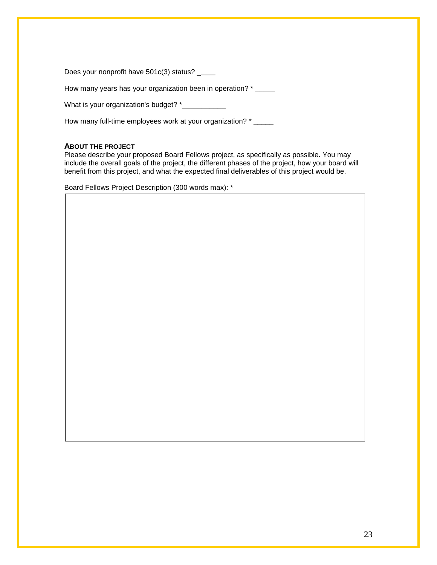|  | Does your nonprofit have 501c(3) status? |  |  |
|--|------------------------------------------|--|--|

How many years has your organization been in operation? \* \_\_\_\_\_

What is your organization's budget? \*\_\_\_\_\_\_\_\_\_\_\_\_

How many full-time employees work at your organization? \* \_\_\_\_\_

### **ABOUT THE PROJECT**

Please describe your proposed Board Fellows project, as specifically as possible. You may include the overall goals of the project, the different phases of the project, how your board will benefit from this project, and what the expected final deliverables of this project would be.

Board Fellows Project Description (300 words max): \*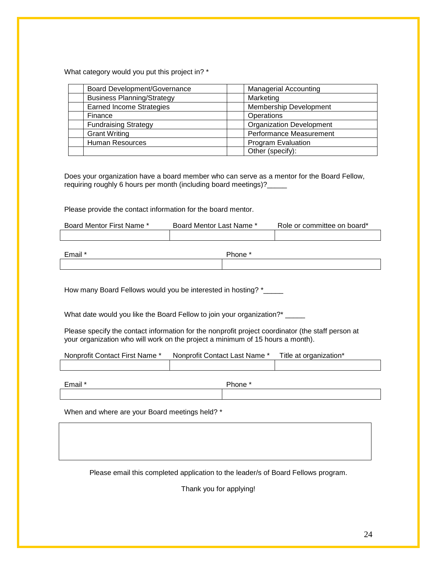What category would you put this project in? \*

| Board Development/Governance      | <b>Managerial Accounting</b>    |
|-----------------------------------|---------------------------------|
| <b>Business Planning/Strategy</b> | Marketing                       |
| <b>Earned Income Strategies</b>   | <b>Membership Development</b>   |
| Finance                           | Operations                      |
| <b>Fundraising Strategy</b>       | <b>Organization Development</b> |
| <b>Grant Writing</b>              | <b>Performance Measurement</b>  |
| <b>Human Resources</b>            | <b>Program Evaluation</b>       |
|                                   | Other (specify):                |

Does your organization have a board member who can serve as a mentor for the Board Fellow, requiring roughly 6 hours per month (including board meetings)?\_\_\_\_\_

Please provide the contact information for the board mentor.

| Board Mentor First Name * | Board Mentor Last Name * | Role or committee on board* |
|---------------------------|--------------------------|-----------------------------|
|                           |                          |                             |
|                           |                          |                             |
| Email *                   | Phone *                  |                             |
|                           |                          |                             |

How many Board Fellows would you be interested in hosting? \*\_\_\_\_\_

What date would you like the Board Fellow to join your organization?\* \_\_\_\_\_

Please specify the contact information for the nonprofit project coordinator (the staff person at your organization who will work on the project a minimum of 15 hours a month).

| Nonprofit Contact First Name * | Nonprofit Contact Last Name * | Title at organization* |
|--------------------------------|-------------------------------|------------------------|
|                                |                               |                        |

Email \* Phone \*

When and where are your Board meetings held? \*

Please email this completed application to the leader/s of Board Fellows program.

Thank you for applying!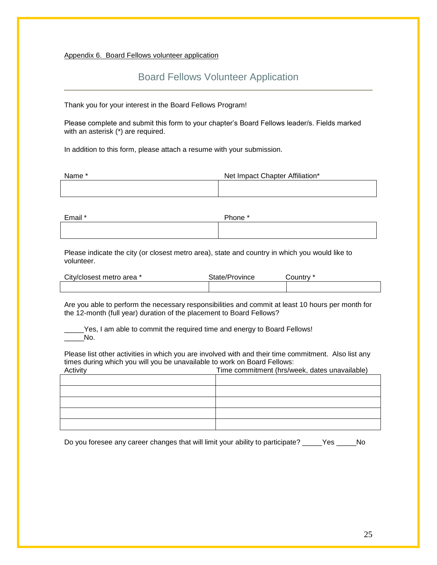Appendix 6. Board Fellows volunteer application

# Board Fellows Volunteer Application

Thank you for your interest in the Board Fellows Program!

Please complete and submit this form to your chapter's Board Fellows leader/s. Fields marked with an asterisk (\*) are required.

In addition to this form, please attach a resume with your submission.

| Name * | Net Impact Chapter Affiliation* |
|--------|---------------------------------|
|        |                                 |

| Email * | Phone * |
|---------|---------|
|         |         |

Please indicate the city (or closest metro area), state and country in which you would like to volunteer.

| City/closest metro area * | State/Province | Countrv * |
|---------------------------|----------------|-----------|
|                           |                |           |

Are you able to perform the necessary responsibilities and commit at least 10 hours per month for the 12-month (full year) duration of the placement to Board Fellows?

Yes, I am able to commit the required time and energy to Board Fellows! No.

Please list other activities in which you are involved with and their time commitment. Also list any times during which you will you be unavailable to work on Board Fellows:

| Activity | Time commitment (hrs/week, dates unavailable) |
|----------|-----------------------------------------------|
|          |                                               |
|          |                                               |
|          |                                               |
|          |                                               |
|          |                                               |

Do you foresee any career changes that will limit your ability to participate? \_\_\_\_\_Yes \_\_\_\_\_No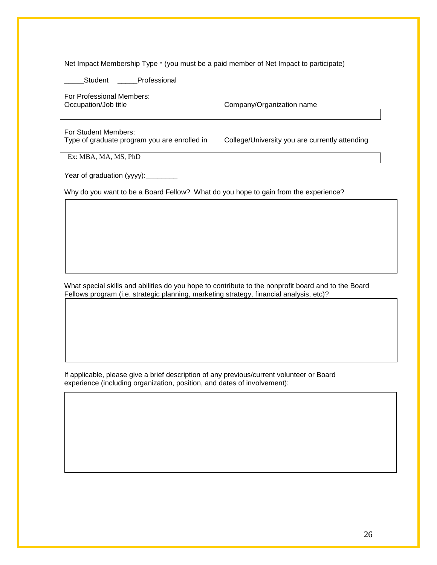Net Impact Membership Type \* (you must be a paid member of Net Impact to participate)

Student Professional

|  |  | For Professional Members: |  |
|--|--|---------------------------|--|
|  |  |                           |  |

| Occupation/Job title | Company/Organization name |
|----------------------|---------------------------|
|                      |                           |

For Student Members:

Type of graduate program you are enrolled in College/University you are currently attending

Ex: MBA, MA, MS, PhD

Year of graduation (yyyy): \_\_\_\_\_\_\_\_\_

Why do you want to be a Board Fellow? What do you hope to gain from the experience?

What special skills and abilities do you hope to contribute to the nonprofit board and to the Board Fellows program (i.e. strategic planning, marketing strategy, financial analysis, etc)?

If applicable, please give a brief description of any previous/current volunteer or Board experience (including organization, position, and dates of involvement):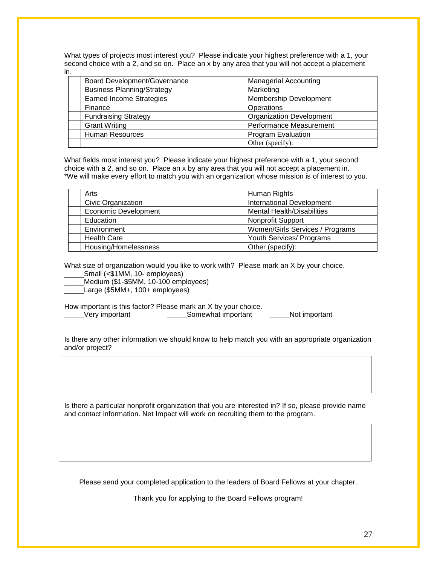What types of projects most interest you? Please indicate your highest preference with a 1, your second choice with a 2, and so on. Place an x by any area that you will not accept a placement in.

| Board Development/Governance      | <b>Managerial Accounting</b>    |
|-----------------------------------|---------------------------------|
| <b>Business Planning/Strategy</b> | Marketing                       |
| <b>Earned Income Strategies</b>   | Membership Development          |
| Finance                           | Operations                      |
| <b>Fundraising Strategy</b>       | <b>Organization Development</b> |
| <b>Grant Writing</b>              | Performance Measurement         |
| Human Resources                   | <b>Program Evaluation</b>       |
|                                   | Other (specify):                |

What fields most interest you? Please indicate your highest preference with a 1, your second choice with a 2, and so on. Place an x by any area that you will not accept a placement in. \*We will make every effort to match you with an organization whose mission is of interest to you.

| Arts                                           |  | Human Rights                      |  |
|------------------------------------------------|--|-----------------------------------|--|
| Civic Organization                             |  | <b>International Development</b>  |  |
| <b>Economic Development</b>                    |  | <b>Mental Health/Disabilities</b> |  |
| Education                                      |  | <b>Nonprofit Support</b>          |  |
| Environment                                    |  | Women/Girls Services / Programs   |  |
| <b>Health Care</b><br>Youth Services/ Programs |  |                                   |  |
| Housing/Homelessness<br>Other (specify):       |  |                                   |  |

What size of organization would you like to work with? Please mark an X by your choice. \_\_\_\_\_Small (<\$1MM, 10- employees)

\_\_\_\_\_Medium (\$1-\$5MM, 10-100 employees)

Large (\$5MM+, 100+ employees)

How important is this factor? Please mark an X by your choice. \_\_\_\_\_Very important \_\_\_\_\_Somewhat important \_\_\_\_\_Not important

Is there any other information we should know to help match you with an appropriate organization and/or project?

Is there a particular nonprofit organization that you are interested in? If so, please provide name and contact information. Net Impact will work on recruiting them to the program.

Please send your completed application to the leaders of Board Fellows at your chapter.

Thank you for applying to the Board Fellows program!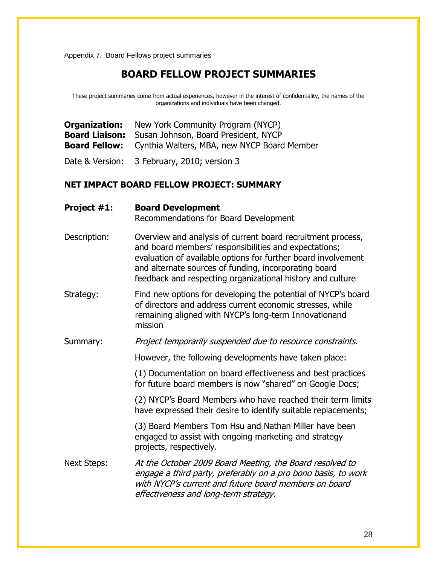Appendix 7. Board Fellows project summaries

# **BOARD FELLOW PROJECT SUMMARIES**

These project summaries come from actual experiences, however in the interest of confidentiality, the names of the organizations and individuals have been changed.

|   | <b>Organization:</b> New York Community Program (NYCP)           |
|---|------------------------------------------------------------------|
|   | <b>Board Liaison:</b> Susan Johnson, Board President, NYCP       |
|   | <b>Board Fellow:</b> Cynthia Walters, MBA, new NYCP Board Member |
| . | $\sim$ $ -$<br>$\sim$ $\sim$ $\sim$                              |

Date & Version: 3 February, 2010; version 3

# **NET IMPACT BOARD FELLOW PROJECT: SUMMARY**

| Project #1:        | <b>Board Development</b><br>Recommendations for Board Development                                                                                                                                                                                                                                            |
|--------------------|--------------------------------------------------------------------------------------------------------------------------------------------------------------------------------------------------------------------------------------------------------------------------------------------------------------|
| Description:       | Overview and analysis of current board recruitment process,<br>and board members' responsibilities and expectations;<br>evaluation of available options for further board involvement<br>and alternate sources of funding, incorporating board<br>feedback and respecting organizational history and culture |
| Strategy:          | Find new options for developing the potential of NYCP's board<br>of directors and address current economic stresses, while<br>remaining aligned with NYCP's long-term Innovationand<br>mission                                                                                                               |
| Summary:           | Project temporarily suspended due to resource constraints.                                                                                                                                                                                                                                                   |
|                    | However, the following developments have taken place:                                                                                                                                                                                                                                                        |
|                    | (1) Documentation on board effectiveness and best practices<br>for future board members is now "shared" on Google Docs;                                                                                                                                                                                      |
|                    | (2) NYCP's Board Members who have reached their term limits<br>have expressed their desire to identify suitable replacements;                                                                                                                                                                                |
|                    | (3) Board Members Tom Hsu and Nathan Miller have been<br>engaged to assist with ongoing marketing and strategy<br>projects, respectively.                                                                                                                                                                    |
| <b>Next Steps:</b> | At the October 2009 Board Meeting, the Board resolved to<br>engage a third party, preferably on a pro bono basis, to work<br>with NYCP's current and future board members on board<br>effectiveness and long-term strategy.                                                                                  |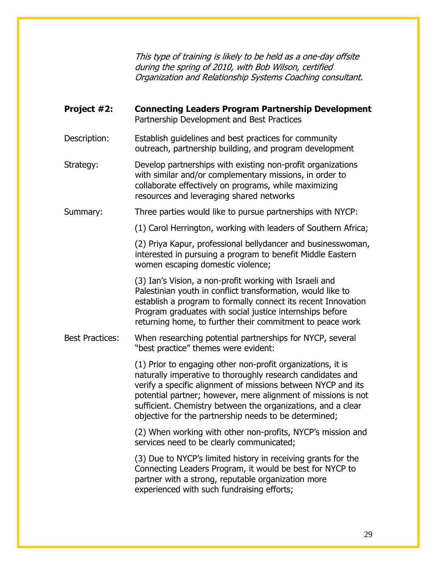This type of training is likely to be held as a one-day offsite during the spring of 2010, with Bob Wilson, certified Organization and Relationship Systems Coaching consultant.

| Project #2:            | <b>Connecting Leaders Program Partnership Development</b><br>Partnership Development and Best Practices                                                                                                                                                                                                                                                                             |
|------------------------|-------------------------------------------------------------------------------------------------------------------------------------------------------------------------------------------------------------------------------------------------------------------------------------------------------------------------------------------------------------------------------------|
| Description:           | Establish guidelines and best practices for community<br>outreach, partnership building, and program development                                                                                                                                                                                                                                                                    |
| Strategy:              | Develop partnerships with existing non-profit organizations<br>with similar and/or complementary missions, in order to<br>collaborate effectively on programs, while maximizing<br>resources and leveraging shared networks                                                                                                                                                         |
| Summary:               | Three parties would like to pursue partnerships with NYCP:                                                                                                                                                                                                                                                                                                                          |
|                        | (1) Carol Herrington, working with leaders of Southern Africa;                                                                                                                                                                                                                                                                                                                      |
|                        | (2) Priya Kapur, professional bellydancer and businesswoman,<br>interested in pursuing a program to benefit Middle Eastern<br>women escaping domestic violence;                                                                                                                                                                                                                     |
|                        | (3) Ian's Vision, a non-profit working with Israeli and<br>Palestinian youth in conflict transformation, would like to<br>establish a program to formally connect its recent Innovation<br>Program graduates with social justice internships before<br>returning home, to further their commitment to peace work                                                                    |
| <b>Best Practices:</b> | When researching potential partnerships for NYCP, several<br>"best practice" themes were evident:                                                                                                                                                                                                                                                                                   |
|                        | (1) Prior to engaging other non-profit organizations, it is<br>naturally imperative to thoroughly research candidates and<br>verify a specific alignment of missions between NYCP and its<br>potential partner; however, mere alignment of missions is not<br>sufficient. Chemistry between the organizations, and a clear<br>objective for the partnership needs to be determined; |
|                        | (2) When working with other non-profits, NYCP's mission and<br>services need to be clearly communicated;                                                                                                                                                                                                                                                                            |
|                        | (3) Due to NYCP's limited history in receiving grants for the<br>Connecting Leaders Program, it would be best for NYCP to<br>partner with a strong, reputable organization more<br>experienced with such fundraising efforts;                                                                                                                                                       |
|                        |                                                                                                                                                                                                                                                                                                                                                                                     |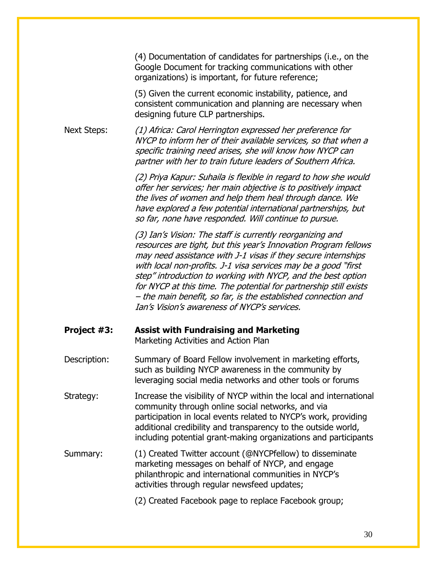(4) Documentation of candidates for partnerships (i.e., on the Google Document for tracking communications with other organizations) is important, for future reference;

(5) Given the current economic instability, patience, and consistent communication and planning are necessary when designing future CLP partnerships.

Next Steps: (1) Africa: Carol Herrington expressed her preference for NYCP to inform her of their available services, so that when a specific training need arises, she will know how NYCP can partner with her to train future leaders of Southern Africa.

> (2) Priya Kapur: Suhaila is flexible in regard to how she would offer her services; her main objective is to positively impact the lives of women and help them heal through dance. We have explored a few potential international partnerships, but so far, none have responded. Will continue to pursue.

> (3) Ian's Vision: The staff is currently reorganizing and resources are tight, but this year's Innovation Program fellows may need assistance with J-1 visas if they secure internships with local non-profits. J-1 visa services may be a good "first step" introduction to working with NYCP, and the best option for NYCP at this time. The potential for partnership still exists – the main benefit, so far, is the established connection and Ian's Vision's awareness of NYCP's services.

| Project #3:  | <b>Assist with Fundraising and Marketing</b><br>Marketing Activities and Action Plan                                                                                                                                                                                                                                           |
|--------------|--------------------------------------------------------------------------------------------------------------------------------------------------------------------------------------------------------------------------------------------------------------------------------------------------------------------------------|
| Description: | Summary of Board Fellow involvement in marketing efforts,<br>such as building NYCP awareness in the community by<br>leveraging social media networks and other tools or forums                                                                                                                                                 |
| Strategy:    | Increase the visibility of NYCP within the local and international<br>community through online social networks, and via<br>participation in local events related to NYCP's work, providing<br>additional credibility and transparency to the outside world,<br>including potential grant-making organizations and participants |
| Summary:     | (1) Created Twitter account (@NYCPfellow) to disseminate<br>marketing messages on behalf of NYCP, and engage<br>philanthropic and international communities in NYCP's<br>activities through regular newsfeed updates;                                                                                                          |
|              | (2) Created Facebook page to replace Facebook group;                                                                                                                                                                                                                                                                           |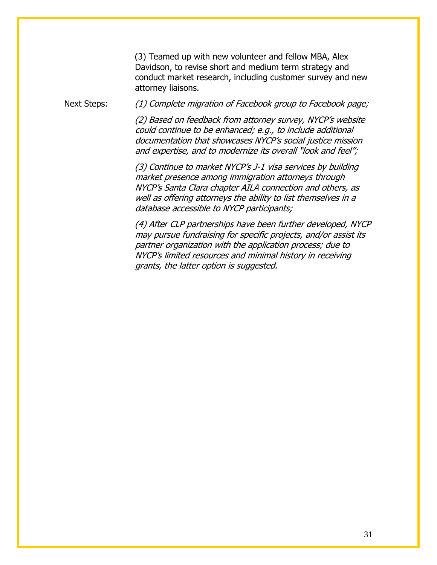(3) Teamed up with new volunteer and fellow MBA, Alex Davidson, to revise short and medium term strategy and conduct market research, including customer survey and new attorney liaisons.

Next Steps: (1) Complete migration of Facebook group to Facebook page;

(2) Based on feedback from attorney survey, NYCP's website could continue to be enhanced; e.g., to include additional documentation that showcases NYCP's social justice mission and expertise, and to modernize its overall "look and feel";

(3) Continue to market NYCP's J-1 visa services by building market presence among immigration attorneys through NYCP's Santa Clara chapter AILA connection and others, as well as offering attorneys the ability to list themselves in a database accessible to NYCP participants;

(4) After CLP partnerships have been further developed, NYCP may pursue fundraising for specific projects, and/or assist its partner organization with the application process; due to NYCP's limited resources and minimal history in receiving grants, the latter option is suggested.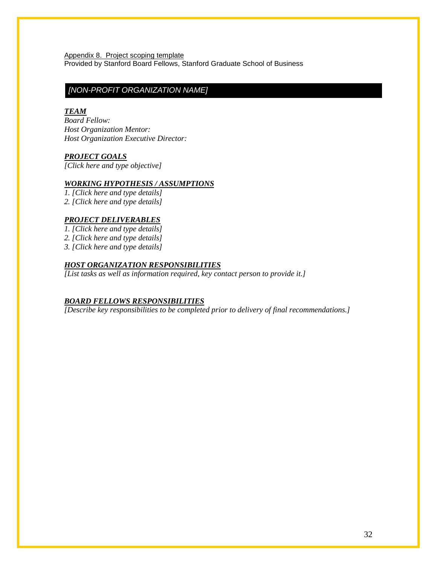Appendix 8. Project scoping template Provided by Stanford Board Fellows, Stanford Graduate School of Business

# *[NON-PROFIT ORGANIZATION NAME]*

### *TEAM*

*Board Fellow: Host Organization Mentor: Host Organization Executive Director:*

### *PROJECT GOALS*

*[Click here and type objective]* 

### *WORKING HYPOTHESIS / ASSUMPTIONS*

*1. [Click here and type details] 2. [Click here and type details]* 

### *PROJECT DELIVERABLES*

*1. [Click here and type details]* 

*2. [Click here and type details]* 

*3. [Click here and type details]* 

### *HOST ORGANIZATION RESPONSIBILITIES*

*[List tasks as well as information required, key contact person to provide it.]*

### *BOARD FELLOWS RESPONSIBILITIES*

*[Describe key responsibilities to be completed prior to delivery of final recommendations.]*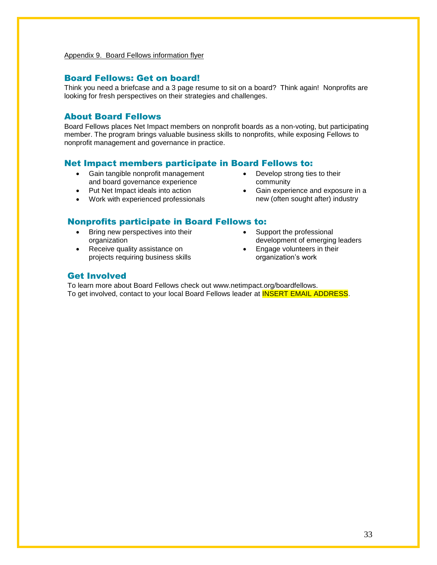# Board Fellows: Get on board!

Think you need a briefcase and a 3 page resume to sit on a board? Think again! Nonprofits are looking for fresh perspectives on their strategies and challenges.

# About Board Fellows

Board Fellows places Net Impact members on nonprofit boards as a non-voting, but participating member. The program brings valuable business skills to nonprofits, while exposing Fellows to nonprofit management and governance in practice.

### Net Impact members participate in Board Fellows to:

- Gain tangible nonprofit management and board governance experience
- Put Net Impact ideals into action
- Work with experienced professionals

# Nonprofits participate in Board Fellows to:

- Bring new perspectives into their organization
- Receive quality assistance on projects requiring business skills
- Develop strong ties to their community
- Gain experience and exposure in a new (often sought after) industry
- Support the professional development of emerging leaders
- Engage volunteers in their organization's work

### Get Involved

To learn more about Board Fellows check out www.netimpact.org/boardfellows. To get involved, contact to your local Board Fellows leader at **INSERT EMAIL ADDRESS**.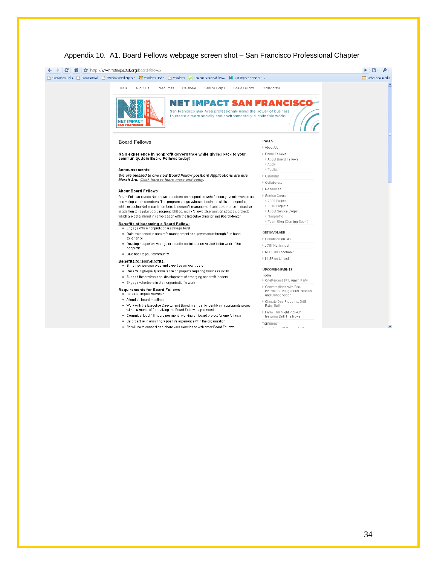

### Appendix 10. A1. Board Fellows webpage screen shot – San Francisco Professional Chapter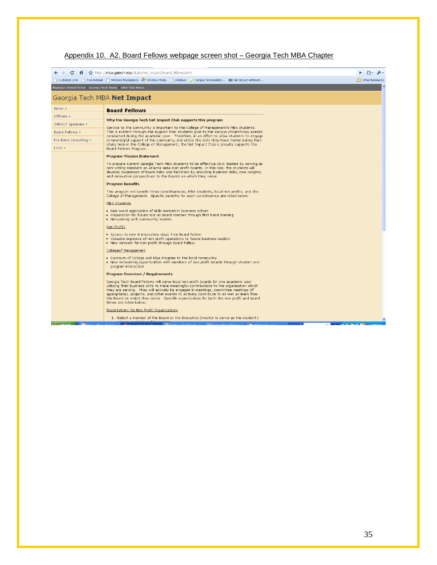# Appendix 10. A2. Board Fellows webpage screen shot – Georgia Tech MBA Chapter

| C                        | ☆   ☆ http://mba.gatech.edu/clubs/net_impact/Board_fellows.html                                                                                                                                                                                                                                                                                                                                                                                                                            | $\mathbb{R}^2$ . $\mathbb{R}^2$ |
|--------------------------|--------------------------------------------------------------------------------------------------------------------------------------------------------------------------------------------------------------------------------------------------------------------------------------------------------------------------------------------------------------------------------------------------------------------------------------------------------------------------------------------|---------------------------------|
|                          | Customize Links The Free Hotmail The Windows Marketplace 27 Windows Media The Windows 7 Campus Sustainability Nil Net Impact Administr                                                                                                                                                                                                                                                                                                                                                     | Other bookmarks                 |
|                          | Business School Home   Georgia Tech Home   MBA Club Home                                                                                                                                                                                                                                                                                                                                                                                                                                   |                                 |
|                          | Georgia Tech MBA Net Impact                                                                                                                                                                                                                                                                                                                                                                                                                                                                |                                 |
| Home »                   | <b>Board Fellows</b>                                                                                                                                                                                                                                                                                                                                                                                                                                                                       |                                 |
| Officers »               | Why the Georgia Tech Net Impact Club supports this program                                                                                                                                                                                                                                                                                                                                                                                                                                 |                                 |
| <b>IMPACT Speakers »</b> | Service to the community is important to the College of Management's MBA students.                                                                                                                                                                                                                                                                                                                                                                                                         |                                 |
| Board Fellows »          | This is evident through the support that students give to the various philanthropy events<br>conducted during the academic year. Therefore, in an effort to allow students to engage                                                                                                                                                                                                                                                                                                       |                                 |
| Pro Bono Consulting »    | in meaningful support of the community and utilize the skills they have honed during their<br>study here in the College of Management, the Net Impact Club is proudly supports the                                                                                                                                                                                                                                                                                                         |                                 |
| Links »                  | Board Fellows Program.                                                                                                                                                                                                                                                                                                                                                                                                                                                                     |                                 |
|                          | <b>Program Mission Statement</b>                                                                                                                                                                                                                                                                                                                                                                                                                                                           |                                 |
|                          | To prepare current Georgia Tech MBA students to be effective civic leaders by serving as<br>non-voting members on Atlanta-area non-profit boards. In this role, the students will<br>develop awareness of board roles and functions by providing business skills, new insights,<br>and innovative perspectives to the boards on which they serve.                                                                                                                                          |                                 |
|                          | <b>Program Benefits</b>                                                                                                                                                                                                                                                                                                                                                                                                                                                                    |                                 |
|                          | This program will benefit three constituencies, MBA students, local non profits, and the<br>College of Management. Specific benefits for each constituency are listed below:                                                                                                                                                                                                                                                                                                               |                                 |
|                          | <b>MBA Students</b>                                                                                                                                                                                                                                                                                                                                                                                                                                                                        |                                 |
|                          | • Real world application of skills learned in business school<br>. Preparation for future role as board member through first hand learning<br>• Networking with community leaders                                                                                                                                                                                                                                                                                                          |                                 |
|                          | Non Profits                                                                                                                                                                                                                                                                                                                                                                                                                                                                                |                                 |
|                          | • Access to new & innovative ideas from Board Fellow<br>. Valuable exposure of non profit operations to future business leaders<br>. New network for non profit through Board Fellow                                                                                                                                                                                                                                                                                                       |                                 |
|                          | <b>Collegeof Management</b>                                                                                                                                                                                                                                                                                                                                                                                                                                                                |                                 |
|                          | • Exposure of College and MBA Program to the local community<br>. New networking opportunities with members of non profit boards through student and<br>program interaction                                                                                                                                                                                                                                                                                                                |                                 |
|                          | <b>Program Overview / Requirements</b>                                                                                                                                                                                                                                                                                                                                                                                                                                                     |                                 |
|                          | Georgia Tech Board Fellows will serve local non profit boards for one academic year<br>utilizing their business skills to make meaningful contributions to the organization which<br>they are serving. They will actively be engaged in meetings, committee meetings (if<br>appropriate), projects, and other events to actively contribute to as well as learn from<br>the Board on which they serve. Specific expectations for both the non profit and board<br>fellow are listed below: |                                 |
|                          | Expectations for Non Profit Organizations                                                                                                                                                                                                                                                                                                                                                                                                                                                  |                                 |
|                          | 1. Select a member of the Board or the Executive Director to serve as the student's                                                                                                                                                                                                                                                                                                                                                                                                        |                                 |
|                          |                                                                                                                                                                                                                                                                                                                                                                                                                                                                                            | $\sim$ $\sim$ $\sim$ $\sim$     |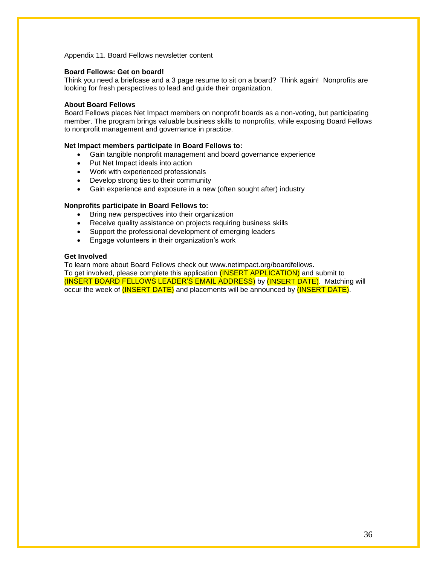### Appendix 11. Board Fellows newsletter content

### **Board Fellows: Get on board!**

Think you need a briefcase and a 3 page resume to sit on a board? Think again! Nonprofits are looking for fresh perspectives to lead and guide their organization.

### **About Board Fellows**

Board Fellows places Net Impact members on nonprofit boards as a non-voting, but participating member. The program brings valuable business skills to nonprofits, while exposing Board Fellows to nonprofit management and governance in practice.

### **Net Impact members participate in Board Fellows to:**

- Gain tangible nonprofit management and board governance experience
- Put Net Impact ideals into action
- Work with experienced professionals
- Develop strong ties to their community
- Gain experience and exposure in a new (often sought after) industry

### **Nonprofits participate in Board Fellows to:**

- Bring new perspectives into their organization
- Receive quality assistance on projects requiring business skills
- Support the professional development of emerging leaders
- **Engage volunteers in their organization's work**

### **Get Involved**

To learn more about Board Fellows check out www.netimpact.org/boardfellows. To get involved, please complete this application (INSERT APPLICATION) and submit to (INSERT BOARD FELLOWS LEADER'S EMAIL ADDRESS) by (INSERT DATE). Matching will occur the week of (INSERT DATE) and placements will be announced by (INSERT DATE).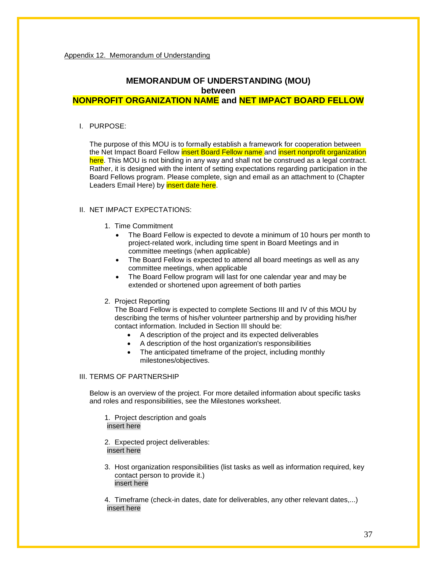# **MEMORANDUM OF UNDERSTANDING (MOU) between**

# **NONPROFIT ORGANIZATION NAME and NET IMPACT BOARD FELLOW**

I. PURPOSE:

The purpose of this MOU is to formally establish a framework for cooperation between the Net Impact Board Fellow insert Board Fellow name and insert nonprofit organization here. This MOU is not binding in any way and shall not be construed as a legal contract. Rather, it is designed with the intent of setting expectations regarding participation in the Board Fellows program. Please complete, sign and email as an attachment to (Chapter Leaders Email Here) by **insert date here**.

### II. NET IMPACT EXPECTATIONS:

- 1. Time Commitment
	- The Board Fellow is expected to devote a minimum of 10 hours per month to project-related work, including time spent in Board Meetings and in committee meetings (when applicable)
	- The Board Fellow is expected to attend all board meetings as well as any committee meetings, when applicable
	- The Board Fellow program will last for one calendar year and may be extended or shortened upon agreement of both parties

### 2. Project Reporting

The Board Fellow is expected to complete Sections III and IV of this MOU by describing the terms of his/her volunteer partnership and by providing his/her contact information. Included in Section III should be:

- A description of the project and its expected deliverables
- A description of the host organization's responsibilities
- The anticipated timeframe of the project, including monthly milestones/objectives.

### III. TERMS OF PARTNERSHIP

Below is an overview of the project. For more detailed information about specific tasks and roles and responsibilities, see the Milestones worksheet.

1. Project description and goals insert here

2. Expected project deliverables: insert here

3. Host organization responsibilities (list tasks as well as information required, key contact person to provide it.) insert here

4. Timeframe (check-in dates, date for deliverables, any other relevant dates,...) insert here